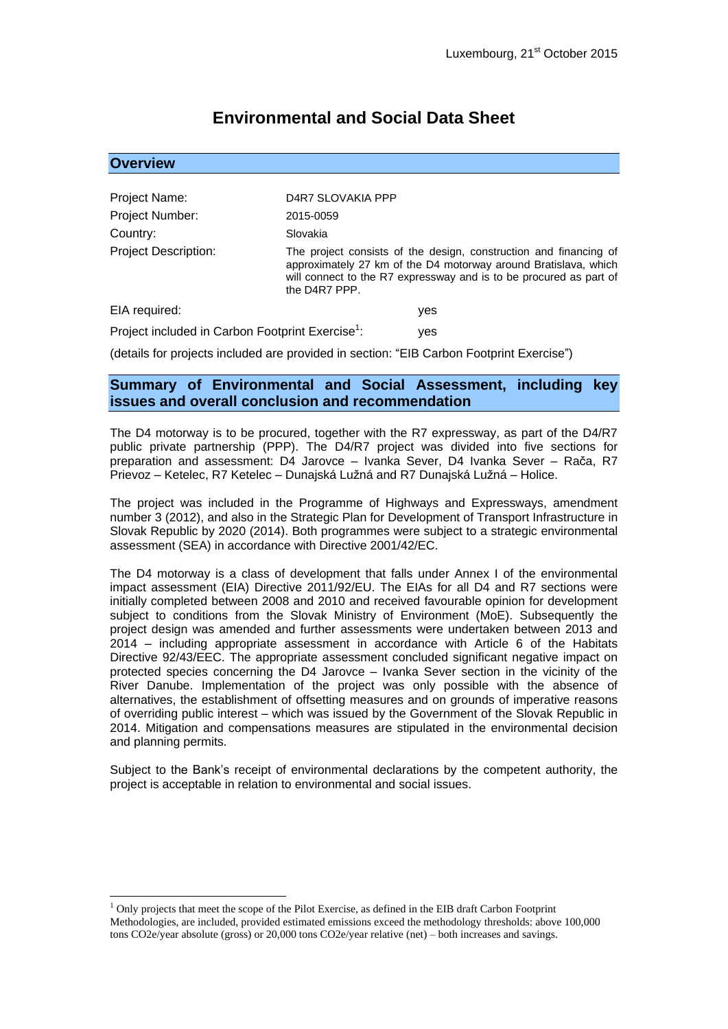# **Environmental and Social Data Sheet**

| <b>Overview</b>                                              |                                                                                                                                                                                                                             |
|--------------------------------------------------------------|-----------------------------------------------------------------------------------------------------------------------------------------------------------------------------------------------------------------------------|
|                                                              |                                                                                                                                                                                                                             |
| Project Name:                                                | D4R7 SLOVAKIA PPP                                                                                                                                                                                                           |
| Project Number:                                              | 2015-0059                                                                                                                                                                                                                   |
| Country:                                                     | Slovakia                                                                                                                                                                                                                    |
| <b>Project Description:</b>                                  | The project consists of the design, construction and financing of<br>approximately 27 km of the D4 motorway around Bratislava, which<br>will connect to the R7 expressway and is to be procured as part of<br>the D4R7 PPP. |
| EIA required:                                                | yes                                                                                                                                                                                                                         |
| Project included in Carbon Footprint Exercise <sup>1</sup> : | yes                                                                                                                                                                                                                         |

(details for projects included are provided in section: "EIB Carbon Footprint Exercise")

# **Summary of Environmental and Social Assessment, including key issues and overall conclusion and recommendation**

The D4 motorway is to be procured, together with the R7 expressway, as part of the D4/R7 public private partnership (PPP). The D4/R7 project was divided into five sections for preparation and assessment: D4 Jarovce – Ivanka Sever, D4 Ivanka Sever – Rača, R7 Prievoz – Ketelec, R7 Ketelec – Dunajská Lužná and R7 Dunajská Lužná – Holice.

The project was included in the Programme of Highways and Expressways, amendment number 3 (2012), and also in the Strategic Plan for Development of Transport Infrastructure in Slovak Republic by 2020 (2014). Both programmes were subject to a strategic environmental assessment (SEA) in accordance with Directive 2001/42/EC.

The D4 motorway is a class of development that falls under Annex I of the environmental impact assessment (EIA) Directive 2011/92/EU. The EIAs for all D4 and R7 sections were initially completed between 2008 and 2010 and received favourable opinion for development subject to conditions from the Slovak Ministry of Environment (MoE). Subsequently the project design was amended and further assessments were undertaken between 2013 and 2014 – including appropriate assessment in accordance with Article 6 of the Habitats Directive 92/43/EEC. The appropriate assessment concluded significant negative impact on protected species concerning the D4 Jarovce – Ivanka Sever section in the vicinity of the River Danube. Implementation of the project was only possible with the absence of alternatives, the establishment of offsetting measures and on grounds of imperative reasons of overriding public interest – which was issued by the Government of the Slovak Republic in 2014. Mitigation and compensations measures are stipulated in the environmental decision and planning permits.

Subject to the Bank's receipt of environmental declarations by the competent authority, the project is acceptable in relation to environmental and social issues.

<u>.</u>

 $<sup>1</sup>$  Only projects that meet the scope of the Pilot Exercise, as defined in the EIB draft Carbon Footprint</sup> Methodologies, are included, provided estimated emissions exceed the methodology thresholds: above 100,000 tons CO2e/year absolute (gross) or 20,000 tons CO2e/year relative (net) – both increases and savings.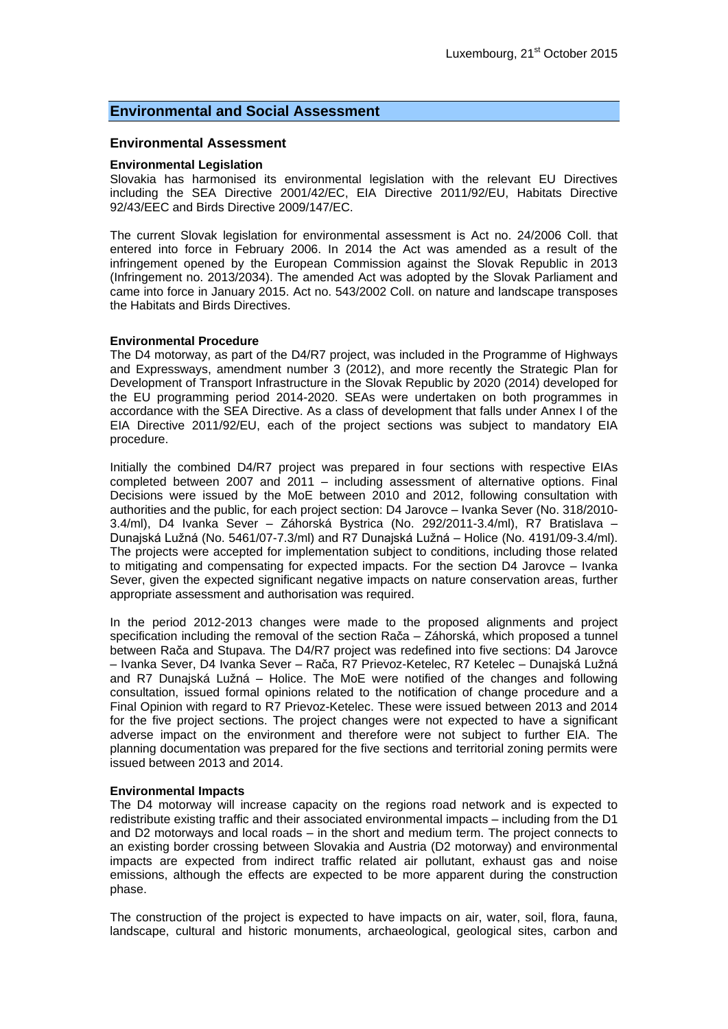# **Environmental and Social Assessment**

### **Environmental Assessment**

#### **Environmental Legislation**

Slovakia has harmonised its environmental legislation with the relevant EU Directives including the SEA Directive 2001/42/EC, EIA Directive 2011/92/EU, Habitats Directive 92/43/EEC and Birds Directive 2009/147/EC.

The current Slovak legislation for environmental assessment is Act no. 24/2006 Coll. that entered into force in February 2006. In 2014 the Act was amended as a result of the infringement opened by the European Commission against the Slovak Republic in 2013 (Infringement no. 2013/2034). The amended Act was adopted by the Slovak Parliament and came into force in January 2015. Act no. 543/2002 Coll. on nature and landscape transposes the Habitats and Birds Directives.

#### **Environmental Procedure**

The D4 motorway, as part of the D4/R7 project, was included in the Programme of Highways and Expressways, amendment number 3 (2012), and more recently the Strategic Plan for Development of Transport Infrastructure in the Slovak Republic by 2020 (2014) developed for the EU programming period 2014-2020. SEAs were undertaken on both programmes in accordance with the SEA Directive. As a class of development that falls under Annex I of the EIA Directive 2011/92/EU, each of the project sections was subject to mandatory EIA procedure.

Initially the combined D4/R7 project was prepared in four sections with respective EIAs completed between 2007 and 2011 – including assessment of alternative options. Final Decisions were issued by the MoE between 2010 and 2012, following consultation with authorities and the public, for each project section: D4 Jarovce – Ivanka Sever (No. 318/2010- 3.4/ml), D4 Ivanka Sever – Záhorská Bystrica (No. 292/2011-3.4/ml), R7 Bratislava – Dunajská Lužná (No. 5461/07-7.3/ml) and R7 Dunajská Lužná – Holice (No. 4191/09-3.4/ml). The projects were accepted for implementation subject to conditions, including those related to mitigating and compensating for expected impacts. For the section D4 Jarovce – Ivanka Sever, given the expected significant negative impacts on nature conservation areas, further appropriate assessment and authorisation was required.

In the period 2012-2013 changes were made to the proposed alignments and project specification including the removal of the section Rača – Záhorská, which proposed a tunnel between Rača and Stupava. The D4/R7 project was redefined into five sections: D4 Jarovce – Ivanka Sever, D4 Ivanka Sever – Rača, R7 Prievoz-Ketelec, R7 Ketelec – Dunajská Lužná and R7 Dunajská Lužná – Holice. The MoE were notified of the changes and following consultation, issued formal opinions related to the notification of change procedure and a Final Opinion with regard to R7 Prievoz-Ketelec. These were issued between 2013 and 2014 for the five project sections. The project changes were not expected to have a significant adverse impact on the environment and therefore were not subject to further EIA. The planning documentation was prepared for the five sections and territorial zoning permits were issued between 2013 and 2014.

#### **Environmental Impacts**

The D4 motorway will increase capacity on the regions road network and is expected to redistribute existing traffic and their associated environmental impacts – including from the D1 and D2 motorways and local roads – in the short and medium term. The project connects to an existing border crossing between Slovakia and Austria (D2 motorway) and environmental impacts are expected from indirect traffic related air pollutant, exhaust gas and noise emissions, although the effects are expected to be more apparent during the construction phase.

The construction of the project is expected to have impacts on air, water, soil, flora, fauna, landscape, cultural and historic monuments, archaeological, geological sites, carbon and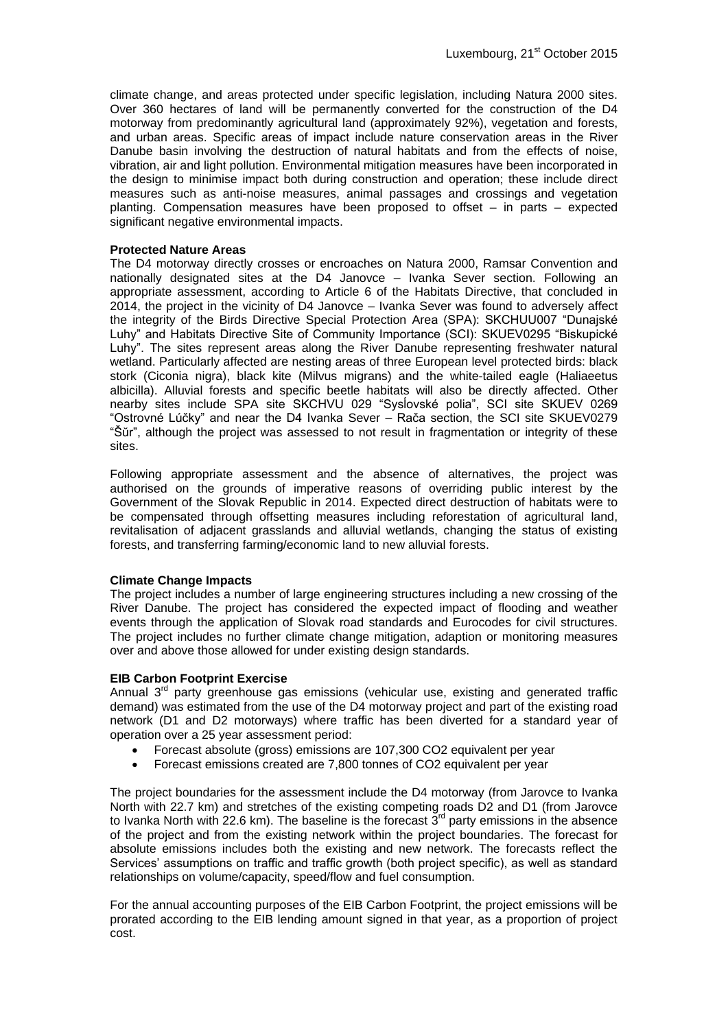climate change, and areas protected under specific legislation, including Natura 2000 sites. Over 360 hectares of land will be permanently converted for the construction of the D4 motorway from predominantly agricultural land (approximately 92%), vegetation and forests, and urban areas. Specific areas of impact include nature conservation areas in the River Danube basin involving the destruction of natural habitats and from the effects of noise, vibration, air and light pollution. Environmental mitigation measures have been incorporated in the design to minimise impact both during construction and operation; these include direct measures such as anti-noise measures, animal passages and crossings and vegetation planting. Compensation measures have been proposed to offset – in parts – expected significant negative environmental impacts.

# **Protected Nature Areas**

The D4 motorway directly crosses or encroaches on Natura 2000, Ramsar Convention and nationally designated sites at the D4 Janovce – Ivanka Sever section. Following an appropriate assessment, according to Article 6 of the Habitats Directive, that concluded in 2014, the project in the vicinity of D4 Janovce – Ivanka Sever was found to adversely affect the integrity of the Birds Directive Special Protection Area (SPA): SKCHUU007 "Dunajské Luhy" and Habitats Directive Site of Community Importance (SCI): SKUEV0295 "Biskupické Luhy". The sites represent areas along the River Danube representing freshwater natural wetland. Particularly affected are nesting areas of three European level protected birds: black stork (Ciconia nigra), black kite (Milvus migrans) and the white-tailed eagle (Haliaeetus albicilla). Alluvial forests and specific beetle habitats will also be directly affected. Other nearby sites include SPA site SKCHVU 029 "Sysĺovské polia", SCI site SKUEV 0269 "Ostrovné Lúčky" and near the D4 Ivanka Sever – Rača section, the SCI site SKUEV0279 "Šŭr", although the project was assessed to not result in fragmentation or integrity of these sites.

Following appropriate assessment and the absence of alternatives, the project was authorised on the grounds of imperative reasons of overriding public interest by the Government of the Slovak Republic in 2014. Expected direct destruction of habitats were to be compensated through offsetting measures including reforestation of agricultural land, revitalisation of adjacent grasslands and alluvial wetlands, changing the status of existing forests, and transferring farming/economic land to new alluvial forests.

#### **Climate Change Impacts**

The project includes a number of large engineering structures including a new crossing of the River Danube. The project has considered the expected impact of flooding and weather events through the application of Slovak road standards and Eurocodes for civil structures. The project includes no further climate change mitigation, adaption or monitoring measures over and above those allowed for under existing design standards.

#### **EIB Carbon Footprint Exercise**

Annual 3<sup>rd</sup> party greenhouse gas emissions (vehicular use, existing and generated traffic demand) was estimated from the use of the D4 motorway project and part of the existing road network (D1 and D2 motorways) where traffic has been diverted for a standard year of operation over a 25 year assessment period:

- Forecast absolute (gross) emissions are 107,300 CO2 equivalent per year
- Forecast emissions created are 7,800 tonnes of CO2 equivalent per year

The project boundaries for the assessment include the D4 motorway (from Jarovce to Ivanka North with 22.7 km) and stretches of the existing competing roads D2 and D1 (from Jarovce to Ivanka North with 22.6 km). The baseline is the forecast  $3<sup>rd</sup>$  party emissions in the absence of the project and from the existing network within the project boundaries. The forecast for absolute emissions includes both the existing and new network. The forecasts reflect the Services' assumptions on traffic and traffic growth (both project specific), as well as standard relationships on volume/capacity, speed/flow and fuel consumption.

For the annual accounting purposes of the EIB Carbon Footprint, the project emissions will be prorated according to the EIB lending amount signed in that year, as a proportion of project cost.